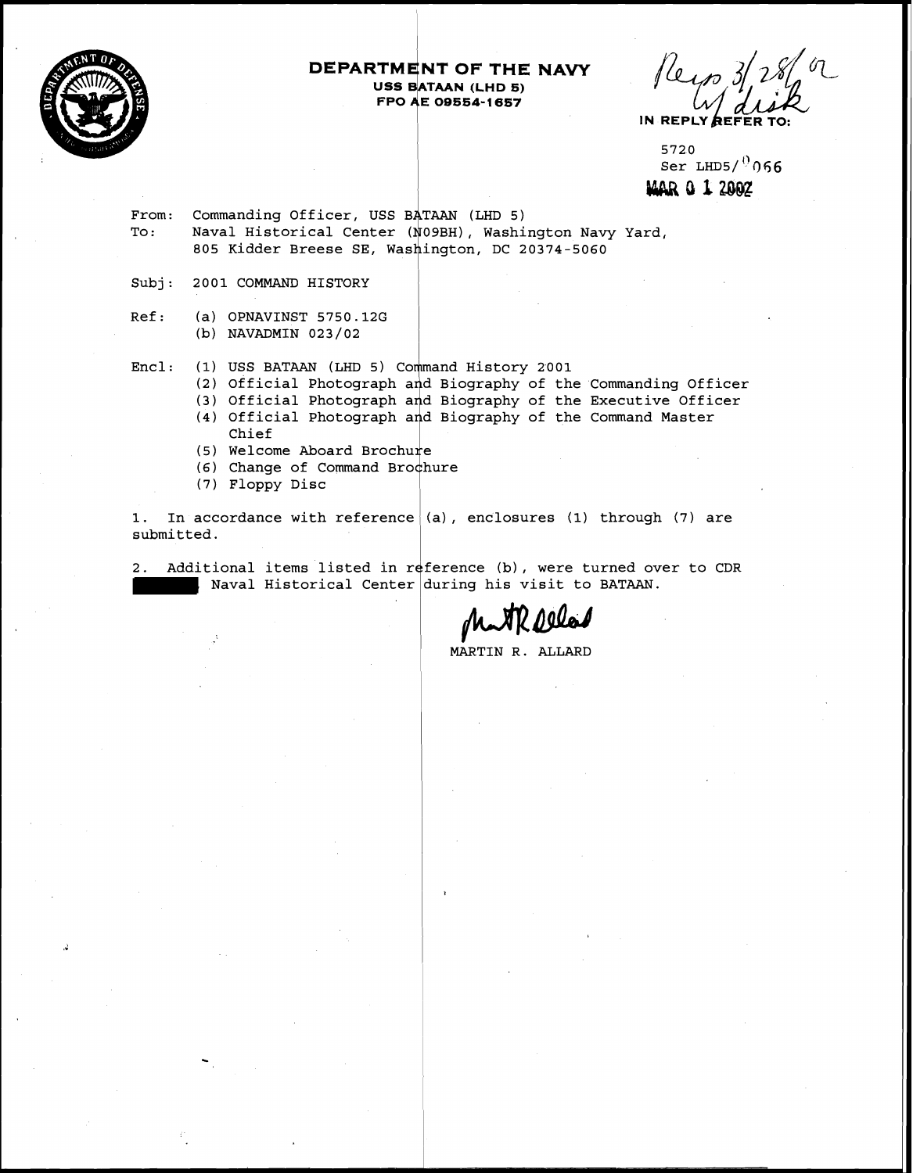

# **DEPARTMENT OF THE NAVY USS BATAAN (LHD 5)**<br>FPO AE 09554-1657 **FROM THE STAR CORPORE AND STAR SEATAAN (LHD 5)**<br>FPO AE 09554-1657<br>**FPO AE 09554-1657**

Reyn 3/286 or IN REPLY RE

5720  $Ser LHD5/$  066 **MAR 0 1 2002** 

From: Commanding Officer, USS BATAAN (LHD 5)<br>To: Naval Historical Center (N09BH). Washi Naval Historical Center (N09BH), Washington Navy Yard, 805 Kidder Breese SE, Washington, DC 20374-5060

Subj: 2001 COMMAND HISTORY

Ref: (a) OPNAVINST 5750.12G (b) NAVADMIN 023/02

(1) USS BATAAN (LHD 5) Command History 2001 Encl:

- (2) Official Photograph and Biography of the Commanding Officer
- (3) Official Photograph and Biography of the Executive Officer
- (4) Official Photograph and Biography of the Command Master Chief<br>(5) Welcome Aboard Brochure
- 
- (6) Change of Command Brochure
- (7) Floppy Disc

1. In accordance with reference (a), enclosures **(1)** through (7) are submitted.

2. Additional items listed in reference (b), were turned over to CDR itional items listed in reference (b), were turned over<br>| Naval Historical Center during his visit to BATAAN.

<sup>I</sup>MARTIN R. ALLARD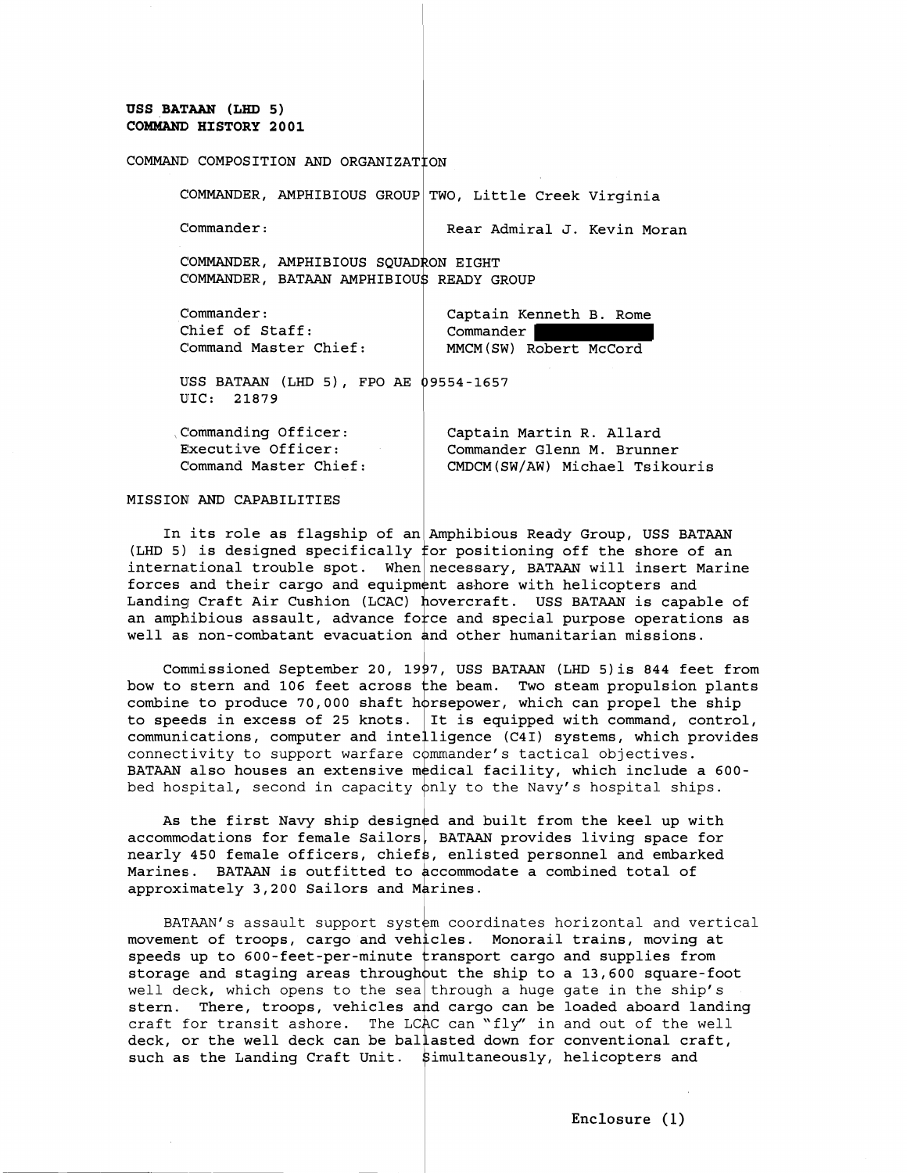#### **USS BATAAN (LHD 5)**  COMMAND HISTORY 2001

#### COMMAND COMPOSITION AND ORGANIZATION

| COMMANDER, AMPHIBIOUS GROUP TWO, Little Creek Virginia                           |                                                                |
|----------------------------------------------------------------------------------|----------------------------------------------------------------|
| Comment:                                                                         | Rear Admiral J. Kevin Moran                                    |
| COMMANDER, AMPHIBIOUS SOUADRON EIGHT<br>COMMANDER, BATAAN AMPHIBIOUS READY GROUP |                                                                |
| Comment:<br>Chief of Staff:<br>Command Master Chief:                             | Captain Kenneth B. Rome<br>Commander<br>MMCM(SW) Robert McCord |
| ------- --- -- -                                                                 |                                                                |

USS BATM (LHD 5), FPO **AE** 9554-1657 UIC: 21879

| Commanding Officer:   | Captain Martin R. Allard       |
|-----------------------|--------------------------------|
| Executive Officer:    | Commander Glenn M. Brunner     |
| Command Master Chief: | CMDCM(SW/AW) Michael Tsikouris |

#### MISSION AND CAPABILITIES <sup>1</sup>

In its role as flagship of an Amphibious Ready Group, USS BATAAN (LHD 5) is designed specifically for positioning off the shore of an international trouble spot. When necessary, BATAAN will insert Marine forces and their cargo and equipment ashore with helicopters and Landing Craft Air Cushion (LCAC) hovercraft. USS BATAAN is capable of an amphibious assault, advance force and special purpose operations as well as non-combatant evacuation and other humanitarian missions.

Commissioned September 20, 1997, USS BATAAN (LHD 5) is 844 feet from bow to stern and 106 feet across the beam. Two steam propulsion plants combine to produce 70,000 shaft horsepower, which can propel the ship to speeds in excess of 25 knots. It is equipped with command, control, communications, computer and intelligence (C4I) systems, which provides connectivity to support warfare c $\lozenge$ mmander's tactical objectives. BATAAN also houses an extensive medical facility, which include a 600 bed hospital, second in capacity  $\rho$ nly to the Navy's hospital ships.

As the first Navy ship designed and built from the keel up with  $\alpha$  accommodations for female Sailors, BATAAN provides living space for nearly 450 female officers, chiefs, enlisted personnel and embarked Marines. BATAAN is outfitted to accommodate a combined total of approximately 3,200 Sailors and M

BATAAN's assault support system coordinates horizontal and vertical movement of troops, cargo and vehicles. Monorail trains, moving at speeds up to 600-feet-per-minute  $\tt{transport}$  cargo and supplies from storage and staging areas throughout the ship to a 13,600 square-foot well deck, which opens to the sea through a huge gate in the ship's stern. There, troops, vehicles and cargo can be loaded aboard landing  $\texttt{craft}$  for transit ashore. The LCAC deck, or the well deck can be such as the Landing Craft Unit. \$imultaneously, helicopters and can "fly" in and out of the well ballasted down for conventional craft,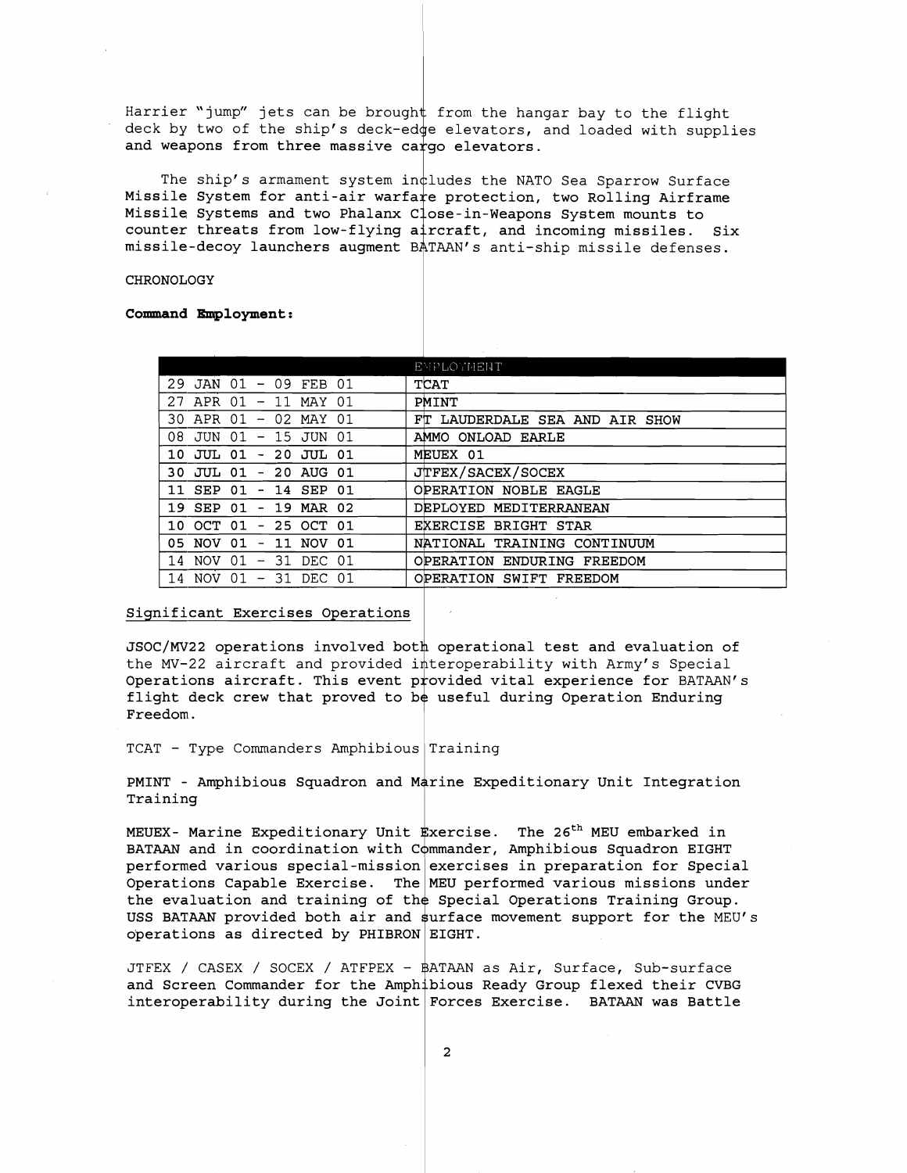Harrier "jump" jets can be brought from the hangar bay to the flight deck by two of the ship's deck-ed $\phi$ e elevators, and loaded with supplies and weapons from three massive cargo elevators.

The ship's armament system in $\dagger$ ludes the NATO Sea Sparrow Surface Missile System for anti-air warfare protection, two Rolling Airframe Missile Systems and two Phalanx  $C$  ose-in-Weapons System mounts to counter threats from low-flying aircraft, and incoming missiles. Six missile-decoy launchers augment BATAAN's anti-ship missile defenses.

**CHRONOLOGY** 

**Command Employment** :

|                                                                    | <b>EMPLOYMENT</b>              |
|--------------------------------------------------------------------|--------------------------------|
| JAN 01<br>$-09$ FEB 01<br>29                                       | <b>TCAT</b>                    |
| 27<br>APR 01<br>MAY<br>01<br>-11<br>$\qquad \qquad -$              | PMINT                          |
| APR 01<br>30.<br>02<br>MAY<br>01<br>$\overline{\phantom{a}}$       | FT LAUDERDALE SEA AND AIR SHOW |
| 08<br>JUN 01<br>15 JUN 01<br>$\overline{\phantom{m}}$              | AMMO ONLOAD EARLE              |
| JUL 01<br>-20<br>JUL 01<br>10.<br>$\overline{\phantom{a}}$         | MEUEX 01                       |
| JUL 01<br>- 20<br>AUG<br>30.<br>01<br>$\overline{\phantom{0}}$     | <b>JTFEX/SACEX/SOCEX</b>       |
| 01<br>SEP<br>SEP<br>14<br>01<br>11<br>$\qquad \qquad \blacksquare$ | OPERATION NOBLE EAGLE          |
| 19.<br><b>SEP</b><br>01<br>-19<br>MAR<br>02<br>$\blacksquare$      | DEPLOYED<br>MEDITERRANEAN      |
| OCT 01<br>25 OCT 01<br>10<br>$\overline{\phantom{0}}$              | EXERCISE BRIGHT STAR           |
| 01<br>05 NOV<br>NOV<br>01<br>11<br>$\overline{\phantom{0}}$        | NATIONAL TRAINING CONTINUUM    |
| 01<br>NOV.<br>31<br>DEC<br>-01<br>14<br>-                          | OPERATION<br>ENDURING FREEDOM  |
| NOV.<br>01<br>31 DEC<br>01<br>14<br>$\overline{\phantom{a}}$       | OPERATION SWIFT FREEDOM        |
|                                                                    |                                |

#### Significant Exercises Operations

JSOC/MV22 operations involved both operational test and evaluation of the MV-22 aircraft and provided interoperability with Army's Special Operations aircraft. This event provided vital experience for BATAAN's flight deck crew that proved to be useful during Operation Enduring<br>Freedom.

 $TCAT$  - Type Commanders Amphibious Training

PMINT - Amphibious Squadron and Marine Expeditionary Unit Integration Training

MEUEX- Marine Expeditionary Unit xercise. The **26th** MEU embarked in BATAAN and in coordination with Commander, Amphibious Squadron EIGHT performed various special-mission exercises in preparation for Special Operations Capable Exercise. The MEU performed various missions under the evaluation and training of the Special Operations Training Group. USS BATAAN provided both air and surface movement support for the MEU's operations as directed by  $PHIBRON|EIGHT$ .

JTFEX / CASEX / SOCEX / ATFPEX - ATAAN as Air, Surface, Sub-surface and Screen Commander for the Amphibious Ready Group flexed their CVBG interoperability during the Joint Forces Exercise. BATAAN was Battle

 $\overline{a}$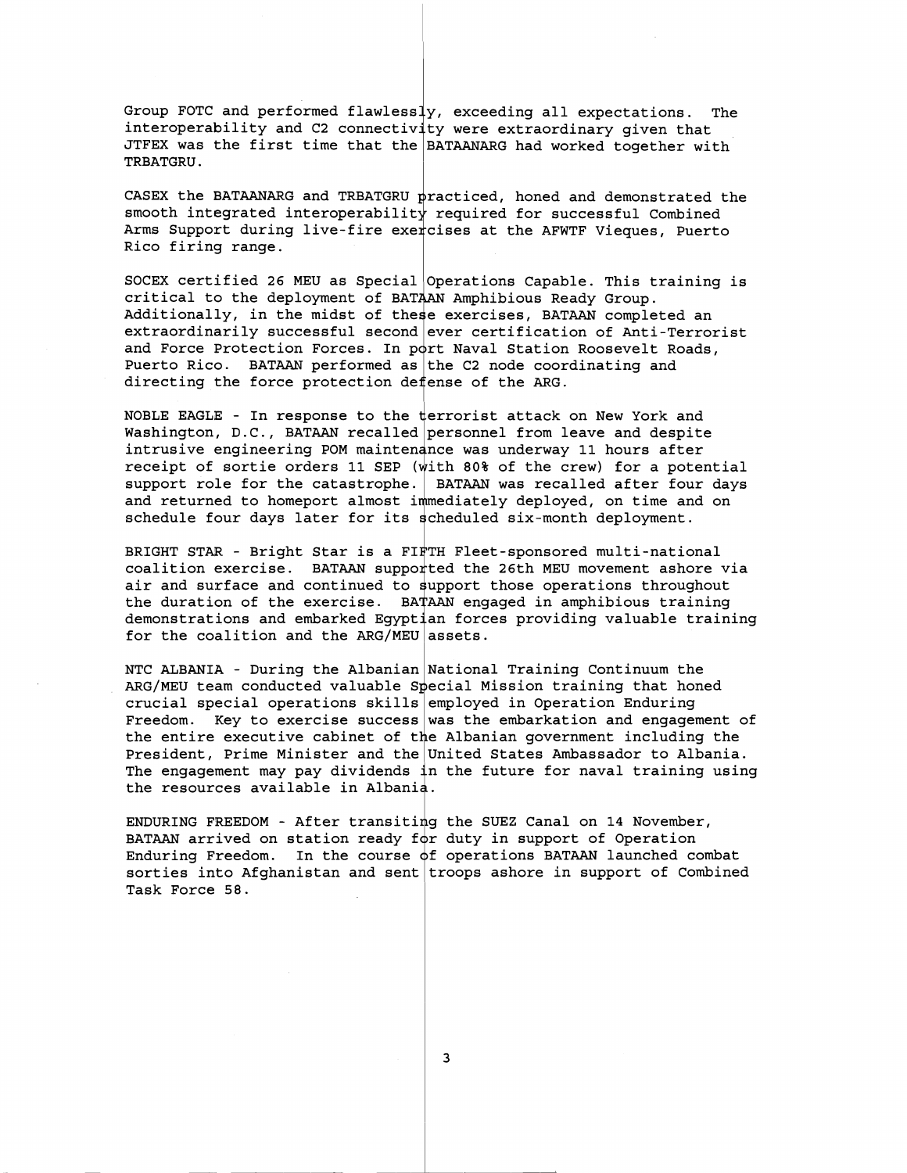Group FOTC and performed flawless **7,** exceeding all expectations. The interoperability and C2 connectivity were extraordinary given that JTFEX was the first time that the <code>BATAANARG</code> had worked together with TRBATGRU .

CASEX the BATAANARG and TRBATGRU  $\bm{{\tt pr} }$ acticed, honed and demonstrated the smooth integrated interoperability required for successful Combined Arms Support during live-fire exercises at the AFWTF Vieques, Puerto Rico firing range.

SOCEX certified 26 MEU as Special $\vert$ Operations Capable. This training is critical to the deployment of BATAAN Amphibious Ready Group. critical to the deployment of BATAAN Amphibious Ready Group.<br>Additionally, in the midst of these exercises, BATAAN completed an extraordinarily successful second $|$ ever certification of Anti-Terrorist and Force Protection Forces. In port Naval Station Roosevelt Roads, Puerto Rico.  $\,$  BATAAN performed as  $|$  the C2 node coordinating and directing the force protection defense of the ARG.

NOBLE EAGLE - In response to the  $\frac{1}{2}$  terrorist attack on New York and Washington, D.C., BATAAN recalled personnel from leave and despite intrusive engineering POM maintenance was underway 11 hours after receipt of sortie orders 11 SEP (with 80% of the crew) for a potential support role for the catastrophe. BATAAN was recalled after four days and returned to homeport almost immediately deployed, on time and on schedule four days later for its scheduled six-month deployment.

BRIGHT STAR - Bright Star is a FI $_{\rm T}^{\rm l}$ TH Fleet-sponsored multi-national coalition exercise. BATAAN supported the 26th MEU movement ashore via air and surface and continued to support those operations throughout and burrace and concrined as pappers these operations enroughous the duration of the exercise. BATAAN engaged in amphibious training demonstrations and embarked Egyptian forces providing valuable training for the coalition and the ARG/MEU assets.

NTC ALBANIA - During the Albanian National Training Continuum the ARG/MEU team conducted valuable Special Mission training that honed crucial special operations skills $|$ employed in Operation Enduring Freedom. Key to exercise success $|$ was the embarkation and engagement of  $\,$ the entire executive cabinet of the Albanian government including the President, Prime Minister and the $|$ United States Ambassador to Albania. The engagement may pay dividends **<sup>1</sup>**the future for naval training using the resources available in Albani

ENDURING FREEDOM - After transiting the SUEZ Canal on 14 November, BATAAN arrived on station ready for duty in support of Operation Enduring Freedom. In the course  $\phi$ f operations BATAAN launched combat sorties into Afghanistan and sent $\vert$ troops ashore in support of Combined Task Force 58.

 $\overline{\mathbf{3}}$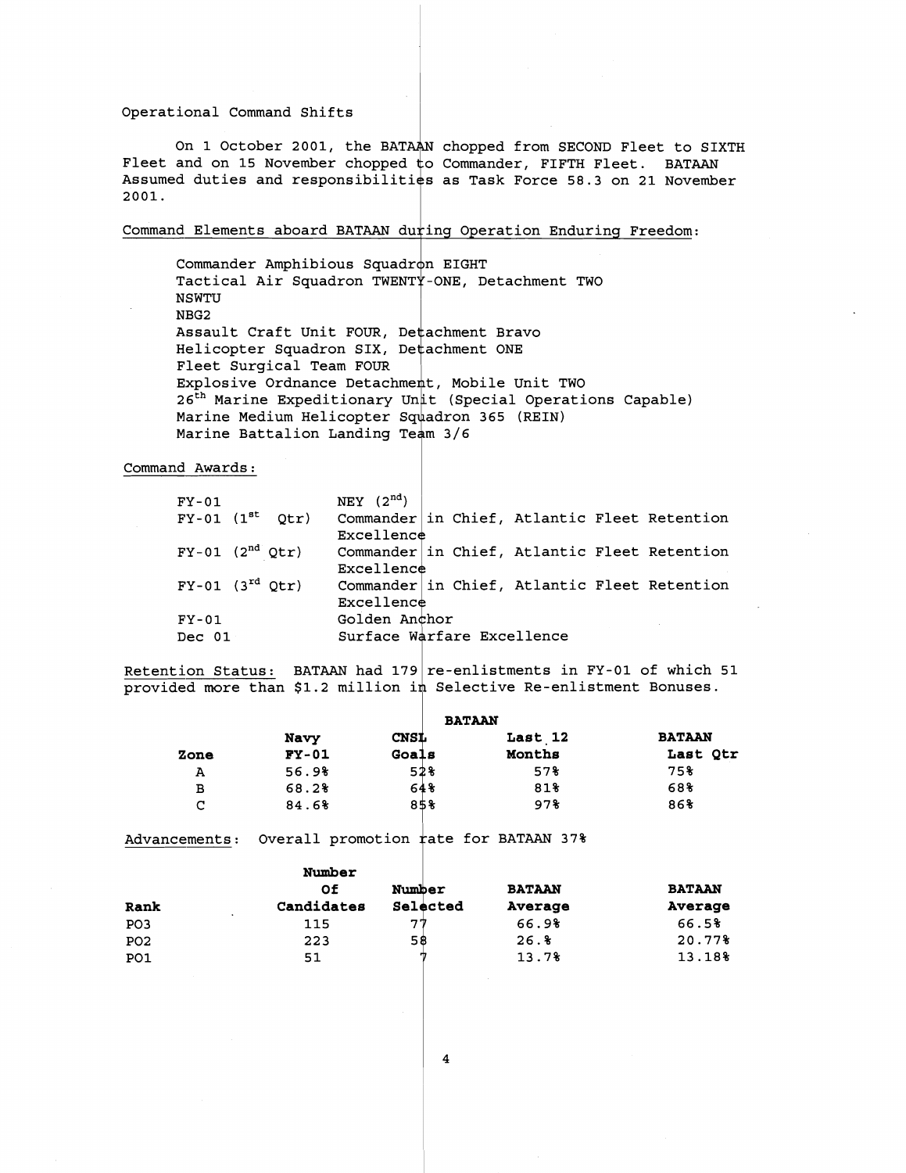#### Operational Command Shifts

On 1 October 2001, the BATAAN chopped from SECOND Fleet to SIXTH Fleet and on 15 November chopped Commander, FIFTH Fleet. BATAAN Assumed duties and responsibilities as Task Force 58.3 on 21 November 2001.

#### Command Elements aboard BATAAN d

Commander Amphibious Squadr $\phi$ n EIGHT Tactical Air Squadron TWENTY-ONE, Detachment TWO NSWTU NBG2 Assault Craft Unit FOUR, Detachment Bravo Helicopter Squadron SIX, Detachment ONE Fleet Surgical Team FOUR ricoe ourgrour roam roon<br>Explosive Ordnance Detachment, Mobile Unit TWO Explosive Ordnance Detachment, Mobile Unit TWO<br>26<sup>th</sup> Marine Expeditionary Unit (Special Operations Capable) Marine Medium Helicopter Squadron 365 (REIN) Marine Battalion Landing Team 3/6 uring Operation Enduring Freedom:<br>Ton EIGHT<br>TY-ONE. Detachment TWO

Command Awards:

| $FY-01$                  |  | NEY $(2^{nd})$ |  |                            |                                              |
|--------------------------|--|----------------|--|----------------------------|----------------------------------------------|
| $FY-01$ $(1^{st}$ $Qtr)$ |  |                |  |                            | Commander in Chief, Atlantic Fleet Retention |
|                          |  | Excellence     |  |                            |                                              |
| $FY-01$ $(2nd Qtr)$      |  |                |  |                            | Commander in Chief, Atlantic Fleet Retention |
|                          |  | Excellence     |  |                            |                                              |
| $FY-01$ $(3^{rd} Qtr)$   |  |                |  |                            | Commander in Chief, Atlantic Fleet Retention |
|                          |  | Excellence     |  |                            |                                              |
| $FY-01$                  |  | Golden Anchor  |  |                            |                                              |
| Dec 01                   |  |                |  | Surface Warfare Excellence |                                              |

<u>Retention Status:</u> BATAAN had 179 re-enlistments in FY-01 of which 51 provided more than \$1.2 million in Selective Re-enlistment Bonuses.

|      |         |             | <b>BATAAN</b> |               |
|------|---------|-------------|---------------|---------------|
|      | Navy    | <b>CNSL</b> | Last 12       | <b>BATAAN</b> |
| Zone | $FY-01$ | Goals       | Months        | Last Qtr      |
| А    | 56.9%   | 52%         | 57%           | 75%           |
| в    | 68.2%   | 64%         | 81%           | 68%           |
| C    | 84.6%   | 85%         | 978           | 86%           |

Advancements: Overall promotion rate for BATAAN 37%

|                 | Number                             |          | <b>BATAAN</b> | <b>BATAAN</b> |
|-----------------|------------------------------------|----------|---------------|---------------|
|                 | Οf                                 | Number   |               |               |
| Rank            | Candidates<br>$\ddot{\phantom{1}}$ | Selected | Average       | Average       |
| PO <sub>3</sub> | 115                                | ワワ       | 66.98         | 66.5%         |
| PO <sub>2</sub> | 223                                | 58       | 26.8          | 20.77%        |
| PO <sub>1</sub> | 51                                 |          | 13.7%         | 13.18%        |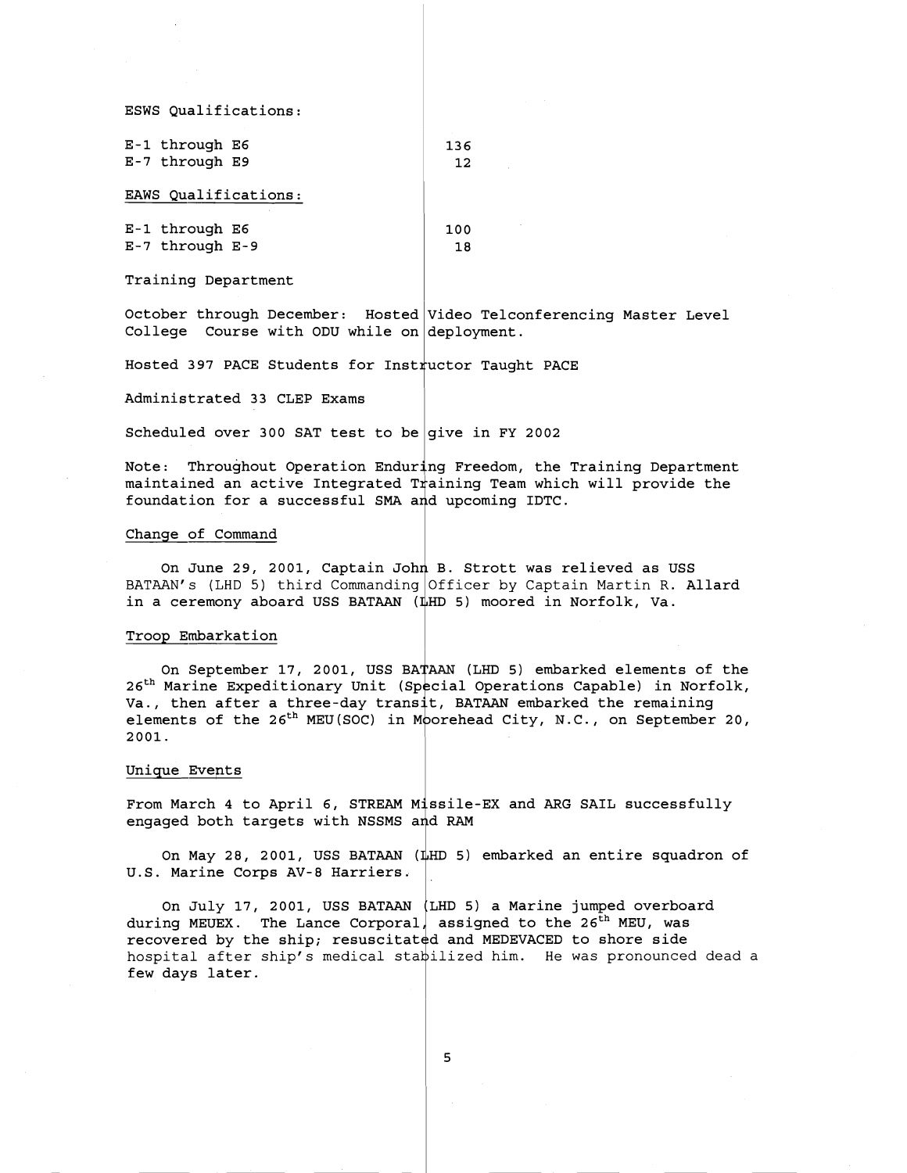ESWS Qualifications:

| E-1 through E6       | 136 |
|----------------------|-----|
| E-7 through E9       | 12  |
| EAWS Oualifications: |     |
|                      |     |

| E-1 through E6  | 100 |
|-----------------|-----|
| E-7 through E-9 | 18  |

Training Department

October through December: Hosted Video Telconferencing Master Level College Course with ODU while on deployment.

Hosted 397 PACE Students for Instructor Taught PACE

Administrated 33 CLEP Exams

Scheduled over 300 SAT test to be give in FY 2002

Note: Throughout Operation Enduring Freedom, the Training Department maintained an active Integrated Training Team which will provide the foundation for a successful SMA and upcoming IDTC.

#### Change of Command

On June 29, 2001, Captain John B. Strott was relieved as USS BATAAN's (LHD 5) third Commanding Officer by Captain Martin R. All**ard** in a ceremony aboard USS BATAAN (LHD 5) moored in Norfolk, Va.

#### Troop Embarkation

On September 17, 2001, USS BATAAN (LHD 5) embarked elements of the 26<sup>th</sup> Marine Expeditionary Unit (Special Operations Capable) in Norfolk, 26 marine Expeditionary Unit (Special Operations Capable) in NOTTO<br>Va., then after a three-day transit, BATAAN embarked the remaining elements of the 26th MEU(S0C) in **<sup>b</sup>** orehead City, N.C., on September 20, 2001.

#### Unique Events

From March 4 to April 6, STREAM Missile-EX and ARG SAIL successfully engaged both targets with NSSMS and RAM

On May 28, 2001, USS BATAAN (LHD 5) embarked an entire squadron of U.S. Marine Corps AV-8 Harriers.

On July 17, 2001, USS BATAAN LHD 5) a Marine jumped overboard during MEUEX. The Lance Corporal, assigned to the 26<sup>th</sup> MEU, was recovered by the ship; resuscitated and MEDEVACED to shore side hospital after ship $^{\prime}$ s medical sta $\models$ ilized him. He was pronounced dead a few days later.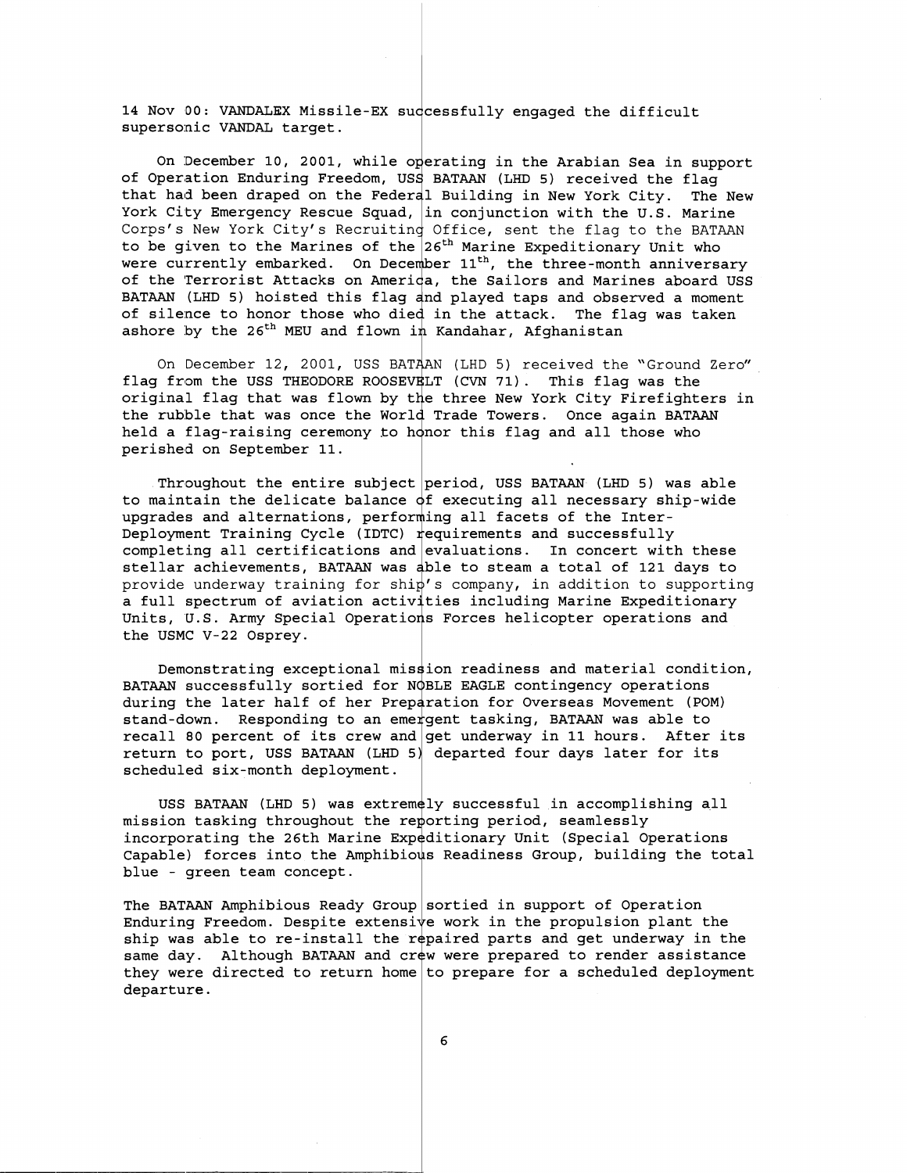14 Nov 00: VANDALEX Missile-EX successfully engaged the difficult supersonic VANDAL target.

On December 10, 2001, while operating in the Arabian Sea in support of Operation Enduring Freedom, USS BATAAN (LHD 5) received the flag that had been draped on the Federal Building in New York City. The New York City Emergency Rescue Squad,  $|$ in conjunction with the U.S. Marine Corps's New York City's Recruiting Office, sent the flag to the BATAAN to be given to the Marines of the  $26^{\rm th}$  Marine Expeditionary Unit who were currently embarked. On December  $11^\mathrm{th}$ , the three-month anniversary of the Terrorist Attacks on America, the Sailors and Marines aboard USS <sup>.</sup> BATAAN (LHD 5) hoisted this flag and played taps and observed a moment of silence to honor those who died in the attack. The flag was taken ashore by the 26<sup>th</sup> MEU and flown in Kandahar, Afghanistan

On December 12, 2001, USS BATAAN (LHD 5) received the "Ground Zero"  $\overline{\phantom{a}}$ flag from the USS THEODORE ROOSEVELT (CVN 71). This flag was the riag from the USS THEODORE ROOSEVELT (CVN 71). This flag was the<br>original flag that was flown by the three New York City Firefighters in the rubble that was once the World Trade Towers. Once again BATAAN held a flag-raising ceremony to honor this flag and all those who perished on September 11.

Throughout the entire subject period, USS BATAAN (LHD 5) was able to maintain the delicate balance  $\mathsf{d}\mathsf{f}$  executing all necessary ship-wide upgrades and alternations, performing all facets of the Inter-Deployment Training Cycle (IDTC)  $_{\tt r}$ equirements and successfully completing all certifications and evaluations. In concert with these stellar achievements, BATAAN was able to steam a total of 121 days to provide underway training for shi $\natural'$ s company, in addition to supporting a full spectrum of aviation activities including Marine Expeditionary a full spectrum of aviation activities including Marine Expeditionary<br>Units, U.S. Army Special Operations Forces helicopter operations and the USMC V-22 Osprey.

Demonstrating exceptional mission readiness and material condition, BATAAN successfully sortied for NQBLE EAGLE contingency operations during the later half of her Preparation for Overseas Movement (POM) stand-down. Responding to an emergent tasking, BATAAN was able to recall 80 percent of its crew and  $|\text{get underway in 11 hours. After its }$ return to port, USS BATAAN (LHD 5) departed four days later for its scheduled six-month deployment.

USS BATAAN (LHD 5) was extremely successful in accomplishing all mission tasking throughout the reporting period, seamlessly incorporating the 26th Marine Expeditionary Unit (Special Operations Capable) forces into the Amphibious Readiness Group, building the total blue - green team concept.

The BATAAN Amphibious Ready Group sortied in support of Operation Enduring Freedom. Despite extensi ${\tt v}$ e work in the propulsion plant the Enduring Freedom. Despite extensive work in the propulsion plant the<br>ship was able to re-install the repaired parts and get underway in the same day. Although BATAAN and crew were prepared to render assistance they were directed to return home $|$ to prepare for a scheduled deployment departure.

6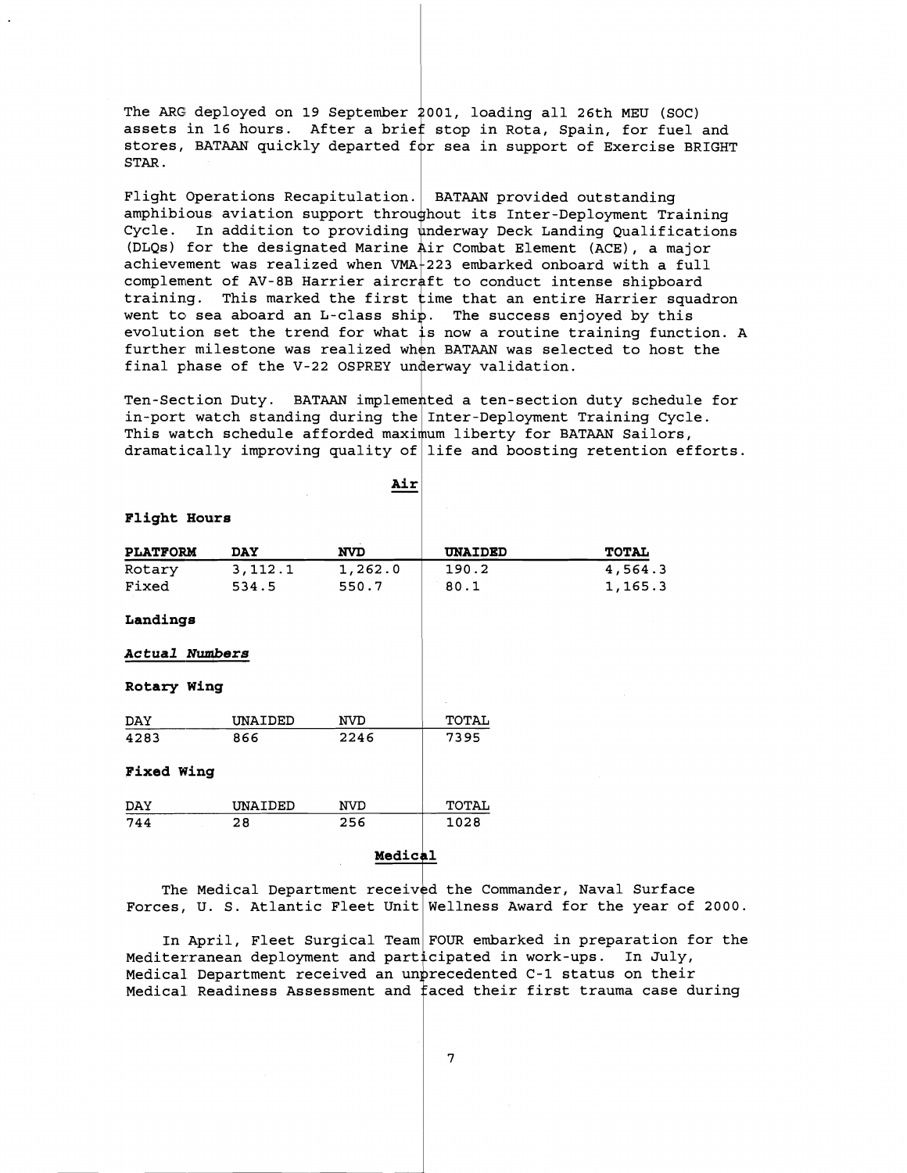The ARG deployed on 19 September 2001, loading all 26th MEU (SOC) assets in 16 hours. After a brief stop in Rota, Spain, for fuel and stores, BATAAN quickly departed **<sup>f</sup>** r sea in support of Exercise BRIGHT STAR.

Flight Operations Recapitulation. BATAAN provided outstanding amphibious aviation support throughout its Inter-Deployment Training Cycle. In addition to providing underway Deck Landing Qualifications (DLQs) for the designated Marine air Combat Element (ACE), a major achievement was realized when VMA $\dagger$ 223 embarked onboard with a full complement of AV-8B Harrier aircraft to conduct intense shipboard training. This marked the first  $\frac{1}{2}$  time that an entire Harrier squadron went to sea aboard an L-class ship. The success enjoyed by this evolution set the trend for what **<sup>3</sup>**now a routine training function. A further milestone was realized when BATAAN was selected to host the final phase of the V-22 OSPREY underway validation.

Ten-Section Duty. BATAAN implemented a ten-section duty schedule for in-port watch standing during the Inter-Deployment Training Cycle. This watch schedule afforded maximum liberty for BATAAN Sailors, dramatically improving quality of $|$  life and boosting retention efforts.

|                   |            | Air        |                |              |
|-------------------|------------|------------|----------------|--------------|
| Flight Hours      |            |            |                |              |
| <b>PLATFORM</b>   | <b>DAY</b> | <b>NVD</b> | <b>UNAIDED</b> | <b>TOTAL</b> |
| Rotary            | 3, 112.1   | 1,262.0    | 190.2          | 4,564.3      |
| Fixed             | 534.5      | 550.7      | 80.1           | 1,165.3      |
| Landings          |            |            |                |              |
| Actual Numbers    |            |            |                |              |
| Rotary Wing       |            |            |                |              |
| DAY               | UNAIDED    | <b>NVD</b> | TOTAL          |              |
| 4283              | 866        | 2246       | 7395           |              |
| <b>Fixed Wing</b> |            |            |                |              |
| DAY               | UNAIDED    | <b>NVD</b> | TOTAL          |              |
| 744               | 28         | 256        | 1028           |              |

**Medic** 

The Medical Department received the Commander, Naval Surface Forces, U. S. Atlantic Fleet Unit $\vert$ Wellness Award for the year of 2000.

In April, Fleet Surgical Team FOUR embarked in preparation for the Mediterranean deployment and participated in work-ups. In July, Medical Department received an un $\operatorname{\mathsf{precedented}}$  C-1 status on their Medical Readiness Assessment and  $\dagger$ aced their first trauma case during

 $\overline{7}$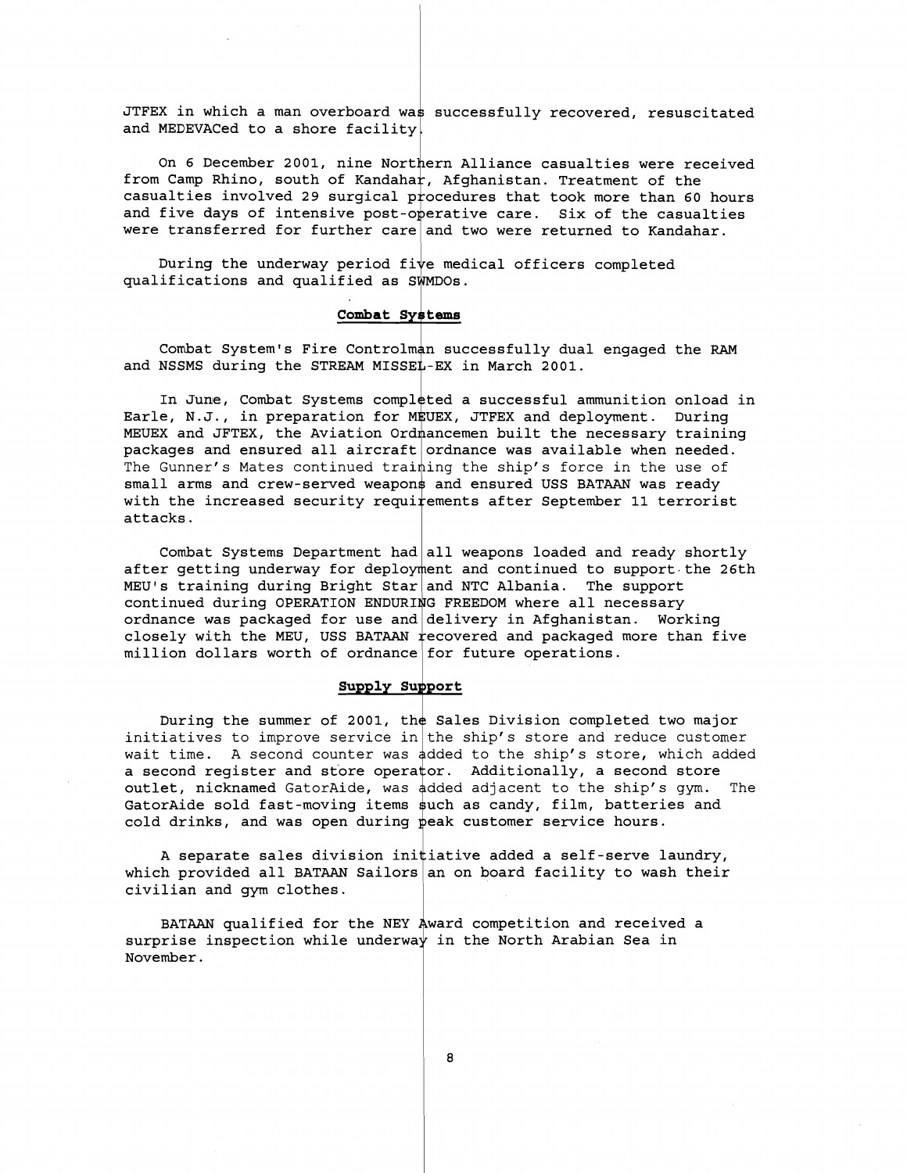JTFEX in which a man overboard was successfully recovered, resuscitated and MEDEVACed to a shore facility.

On 6 December 2001, nine Northern Alliance casualties were received from Camp Rhino, south of Kandaha $\digamma$ , Afghanistan. Treatment of the casualties involved 29 surgical procedures that took more than 60 hours and five days of intensive post-o $\operatorname{\mathsf{p}}$ erative care. Six of the casualties were transferred for further care $|\!$  and two were returned to Kandahar.

During the underway period five medical officers completed  $\texttt{qualifications}$  and  $\texttt{qualified}$  as  $\texttt{SWMDOs}.$ 

### **Combat Systems**

Combat System's Fire Controlman successfully dual engaged the RAM and NSSMS during the STREAM MISSEL-EX in March 2001.

In June, Combat Systems completed a successful ammunition onload in Earle, N.J., in preparation for M\$UEX, JTFEX and deployment. During MEUEX and JFTEX, the Aviation Ordmancemen built the necessary training packages and ensured all aircraft $\vert$ ordnance was available when needed. The Gunner's Mates continued training the ship's force in the use of small arms and crew-served weapon\$ and ensured USS BATAAN was ready with the increased security requirements after September 11 terrorist attacks.

Combat Systems Department had $|\!|$ all weapons loaded and ready shortly after getting underway for deployment and continued to support the 26th MEU's training during Bright Star $|$  and NTC Albania. The support continued during OPERATION ENDURING FREEDOM where all necessary ordnance was packaged for use and $|\hspace{0.1cm}$ delivery in Afghanistan. Working closely with the MEU, USS BATAAN  $_{\rm rec}$ overed and packaged more than five <code>million</code> dollars worth of ordnance $|$  for future operations.

#### **Supply Support**

During the summer of 2001, the Sales Division completed two major initiatives to improve service in $|$ the ship's store and reduce customer wait time. A second counter was dded to the ship's store, which added a second register and store opera $\mathfrak{t}$ or. Additionally, a second store outlet, nicknamed GatorAide, was dded adjacent to the ship's gym. The GatorAide sold fast-moving items such as candy, film, batteries and cold drinks, and was open during peak customer service hours.

A separate sales division ini $\sharp$ iative added a self-serve laundry, which provided all BATAAN Sailors $|\!$  an on board facility to wash their civilian and gym clothes.

BATAAN qualified for the NEY Award competition and received a surprise inspection while underwa $\downarrow$  in the North Arabian Sea in November.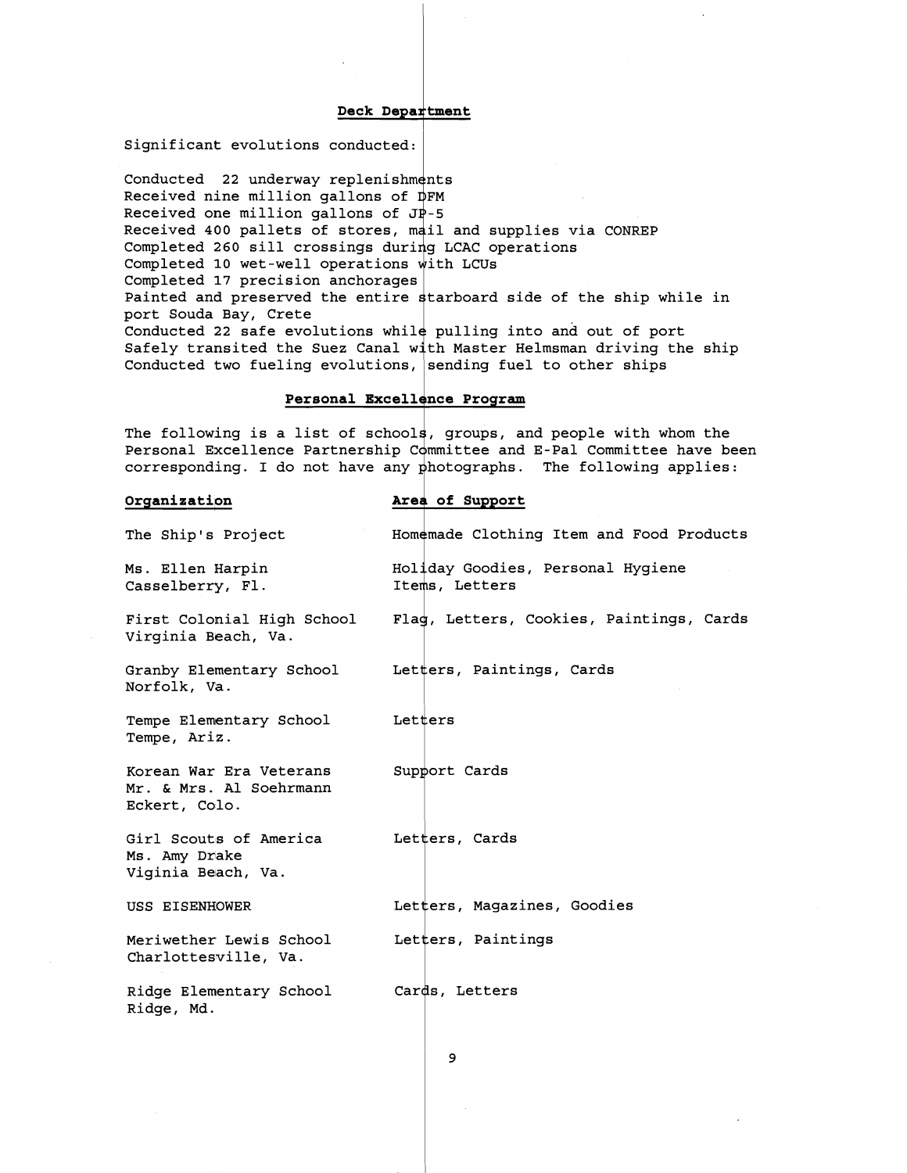#### Deck Department

Significant evolutions conducted: <sup>1</sup>

Conducted **22** underway replenish Received nine million gallons of Received one million gallons of  $J\bar{P}$ -5 Received **400** pallets of stores, Completed **260** sill crossings dur Completed **10** wet-well operations Completed **17** precision anchorage Painted and preserved the entire starboard side of the ship while in port Souda Bay, Crete Conducted 22 safe evolutions while pulling into and out of port Safely transited the Suez Canal with Master Helmsman driving the ship Conducted two fueling evolutions, sending fuel to other ships

#### Personal Excellence Program

The following is a list of schools, groups, and people with whom the Personal Excellence Partnership Committee and E-Pal Committee have been corresponding. I do not have any hotographs. The following applies:

## **Organization**<br>The Ship's Project **Example 2** Homemade Clothi: Homemade Clothing Item and Food Products Ms. Ellen Harpin Holiday Goodies, Personal Hygiene Items, Letters Casselberry, F1. First Colonial High School , Flag, Letters, Cookies, Paintings, Cards Virginia Beach, Va. Granby Elementary School Letters, Paintings, Cards Norfolk, **Va.**  Tempe Elementary School  $L$  Letters Tempe, Ariz. Korean War Era Veterans Support Cards Mr. & Mrs. A1 Soehrmann Eckert, Colo. 1 Girl Scouts of America Letters, Cards Ms. Amy Drake Viginia Beach, Va. USS EISENHOWER  $\qquad \qquad$  Letters, Magazines, Goodies Meriwether Lewis School Letters, Paintings Charlotteswille, Va. <sup>r</sup> Ridge Elementary School Ridge, Md. f

9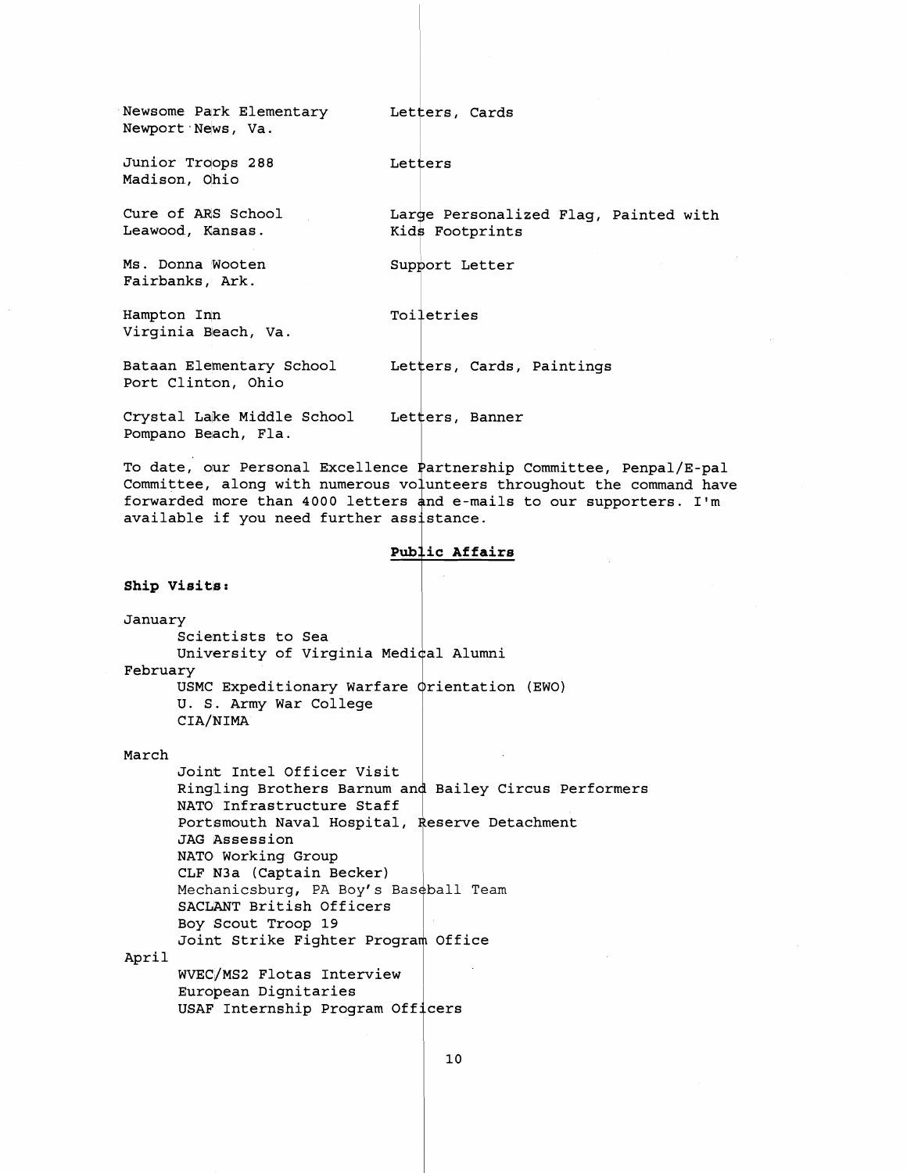Newsome Park Elementary Letters, Cards Newport News, Va. Junior Troops 288 Letters Madison, dhio Cure of ARS School Large Personalized Flag, Painted with Leawood, Kansas. Kids Footprints Ms. Donna Wooten Support Letter Fairbanks, Ark. Hampton Inn Toiletries Virginia Beach, Va. Bataan Elementary School Letters, Cards, Paintings Port Clinton, Ohio Crystal Lake Middle School 4 Letters, Banner Pompano Beach, Fla.

To date, our Personal Excellence Partnership Committee, Penpal/E-pal Committee, along with numerous volunteers throughout the command have forwarded more than 4000 letters and e-mails to our supporters. I'm Committee, along with numerous volunteers forwarded more than 4000 letters and e-mail<br>available if you need further assistance.<br>Public Affair

Ship **Visits**:

January Scientists to Sea University of Virginia Medical Alumni February

USMC Expeditionary Warfare  $\phi$ rientation (EWO) U. S. Army War College CIA/NIMA

#### March

Joint Intel Officer Visit Ringling Brothers Barnum and Bailey Circus Performers NATO Infrastructure Staff Portsmouth Naval Hospital, Reserve Detachment JAG Assession NATO Working Group CLF N3a (Captain Becker) SACLANT British Officers Boy Scout Troop 19 WVEC/MS2 Flotas Interview Resery<br>|<br>|-<br>|-Mechanicsburg, PA Boy's Baseball Team Joint Strike Fighter Program Office I

April

European Dignitaries USAF Internship Program Off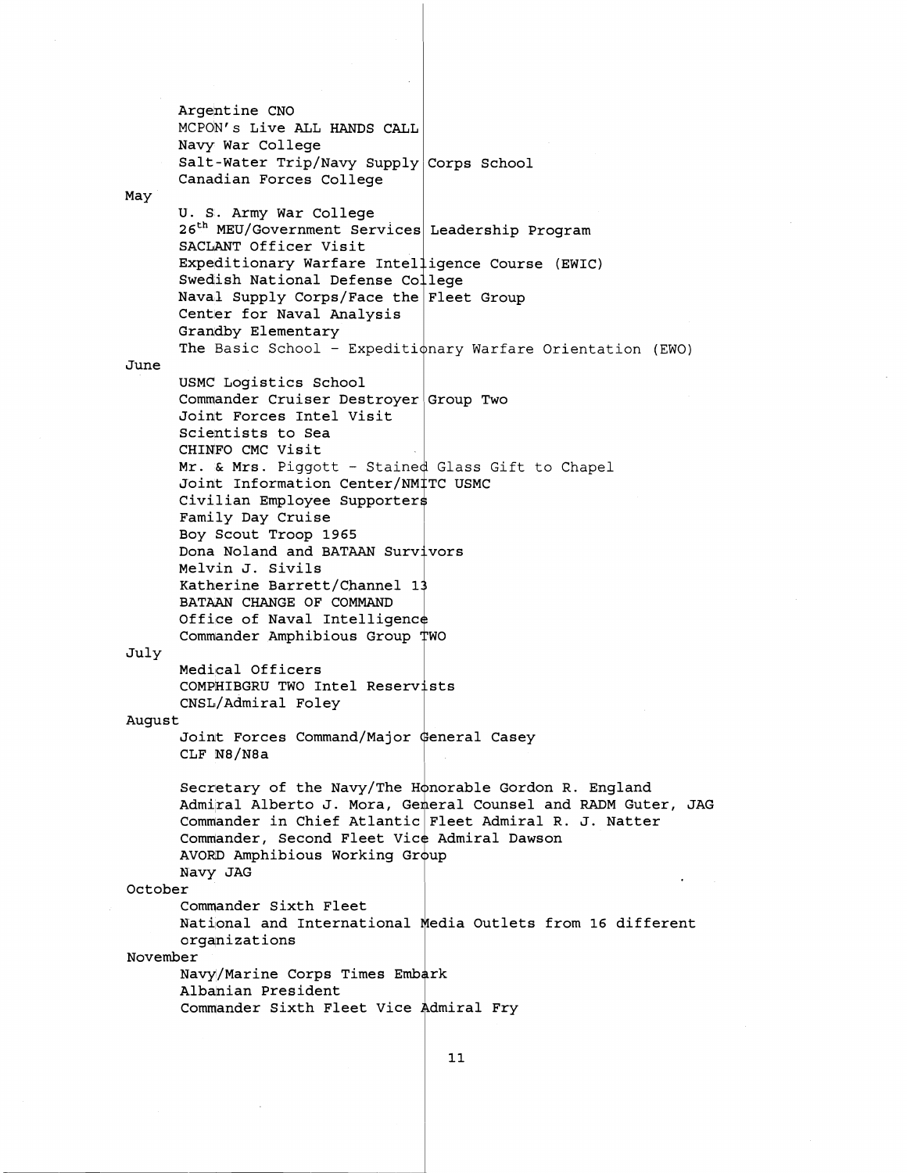Argentine CNO MCPON's Live ALL HANDS CALL Navy War College Salt-Water Trip/Navy Supply $\big\vert$ Corps School Canadian Forces College May U. S. Army War College 26<sup>th</sup> MEU/Government Services Leadership Program SACLANT Officer Visit Expeditionary Warfare Intelligence Course (EWIC) Swedish National Defense Co $\frac{1}{2}$ lege Naval Supply Corps/Face the Pleet Group Center for Naval Analysis Grandby Elementary crandby fitementary<br>The Basic School - Expeditionary Warfare Orientation (EWO) June USMC Logistics School Commander Cruiser Destroyer|Group Two Joint Forces Intel Visit Scientists to Sea CHINFO CMC Visit oning one visits<br>Mr. & Mrs. Piggott - Stained Glass Gift to Chapel Joint Information Center/NM‡TC USMC Civilian Employee Supporter Family Day Cruise Boy Scout Troop **1965**  Dona Noland and BATAAN Surv Melvin J. Sivils Katherine Barrett/Channel 13 BATAAN CHANGE OF COMMAND Office of Naval Intelligence Commander Amphibious Group July Medical Officers COMPHIBGRU TWO Intel Reserv CNSL/Admiral Foley August Joint Forces Command/Major General Casey CLF N8/N8a Secretary of the Navy/The Honorable Gordon R. England Admiral Alberto J. Mora, Gemeral Counsel and RADM Guter, JAG Commander in Chief Atlantic Fleet Admiral R. J. Natter Commander, Second Fleet Vice Admiral Dawson AVORD Amphibious Working Group Navy JAG October Commander Sixth Fleet National and International Media Outlets from 16 different organizations November Navy/Marine Corps Times Embark Albanian President Commander Sixth Fleet Vice Admiral Fry